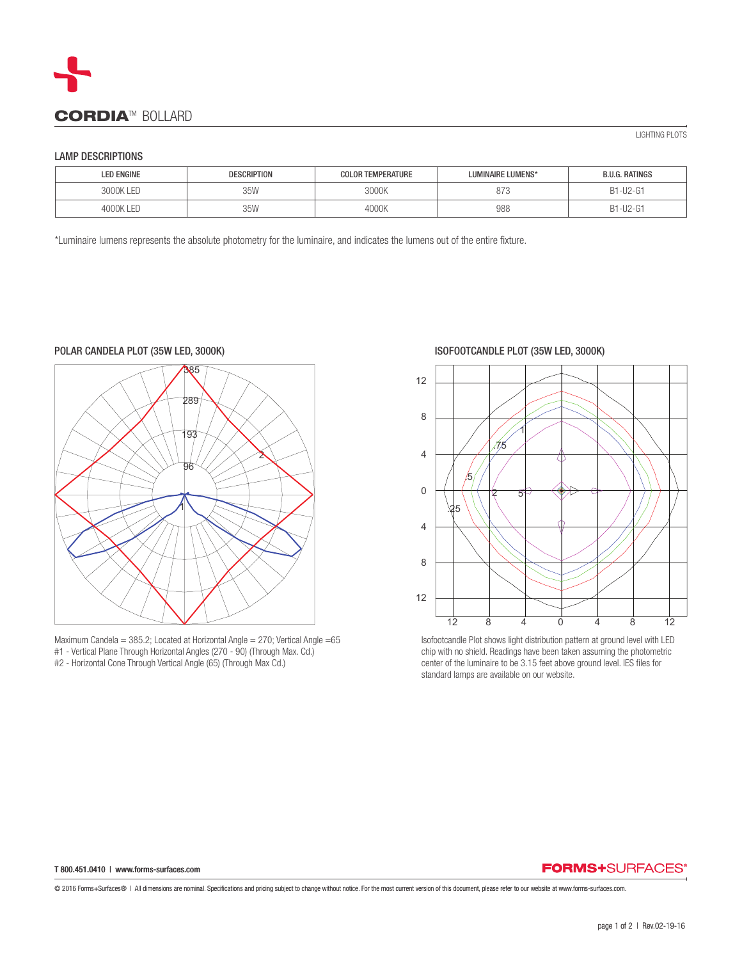

## LAMP DESCRIPTIONS

| <b>LED ENGINE</b> | <b>DESCRIPTION</b> | <b>COLOR TEMPERATURE</b> | LUMINAIRE LUMENS* | <b>B.U.G. RATINGS</b> |
|-------------------|--------------------|--------------------------|-------------------|-----------------------|
| 3000K I FD        | 35W                | 3000K                    | 07<br>87 J        | B1-U2-G1              |
| F                 | 35 <sub>M</sub>    | 4000K                    | 988               | 31-U2-G1<br>٥١        |

\*Luminaire lumens represents the absolute photometry for the luminaire, and indicates the lumens out of the entire fixture.



Maximum Candela = 385.2; Located at Horizontal Angle = 270; Vertical Angle =65 #1 - Vertical Plane Through Horizontal Angles (270 - 90) (Through Max. Cd.) #2 - Horizontal Cone Through Vertical Angle (65) (Through Max Cd.)

ISOFOOTCANDLE PLOT (35W LED, 3000K)



Isofootcandle Plot shows light distribution pattern at ground level with LED chip with no shield. Readings have been taken assuming the photometric center of the luminaire to be 3.15 feet above ground level. IES files for standard lamps are available on our website.

## T 800.451.0410 | www.forms-surfaces.com

## **FORMS+SURFACES®**

© 2016 Forms+Surfaces® | All dimensions are nominal. Specifications and pricing subject to change without notice. For the most current version of this document, please refer to our website at www.forms-surfaces.com.

LIGHTING PLOTS